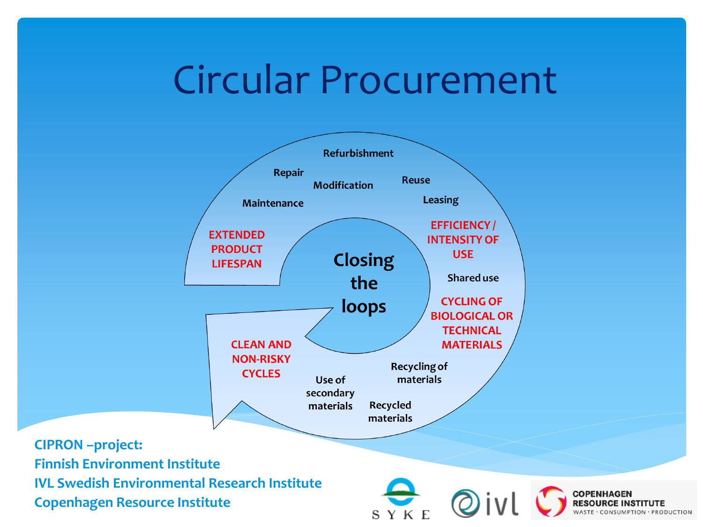# Circular Procurement

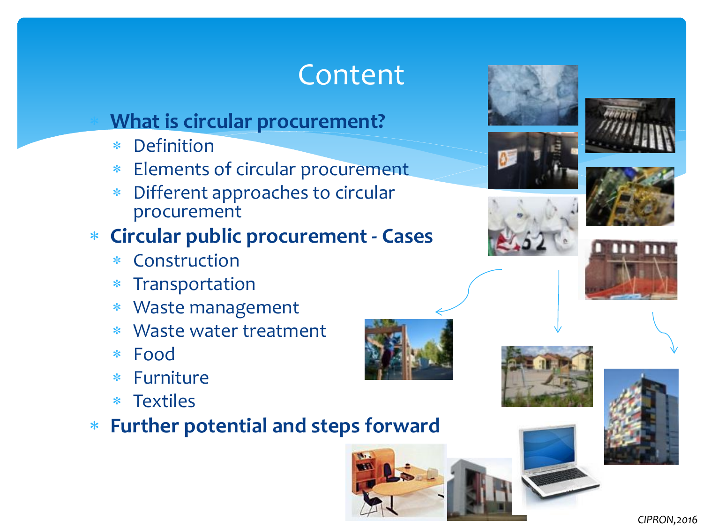## Content

#### **What is circular procurement?**

- Definition
- Elements of circular procurement
- Different approaches to circular procurement

### **Circular public procurement - Cases**

- Construction
- Transportation
- Waste management
- Waste water treatment
- Food
- Furniture
- Textiles

### **Further potential and steps forward**













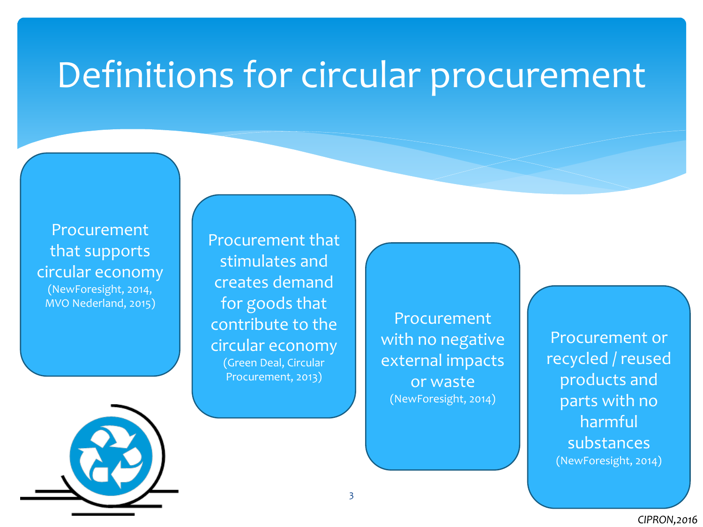# Definitions for circular procurement

Procurement that supports circular economy (NewForesight, 2014, MVO Nederland, 2015)

Procurement that stimulates and creates demand for goods that contribute to the circular economy (Green Deal, Circular Procurement, 2013)

Procurement with no negative external impacts or waste (NewForesight, 2014)

Procurement or recycled / reused products and parts with no harmful substances (NewForesight, 2014)

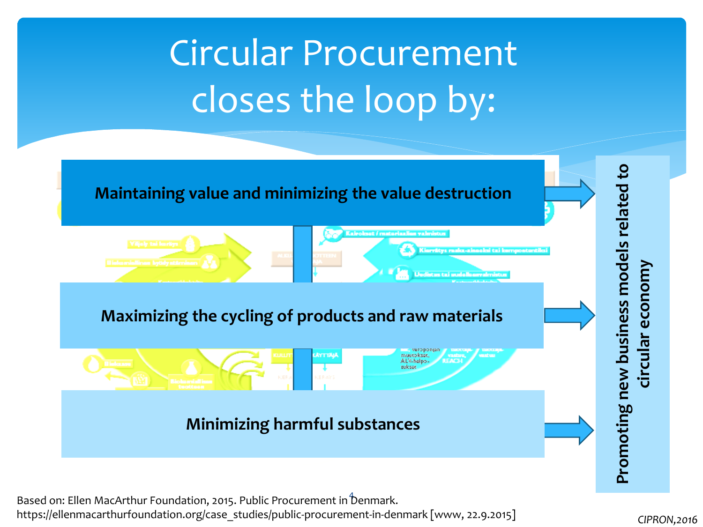# Circular Procurement closes the loop by:



Based on: Ellen MacArthur Foundation, 2015. Public Procurement in  $\rm \hat{b}$ enmark. https://ellenmacarthurfoundation.org/case\_studies/public-procurement-in-denmark [www, 22.9.2015]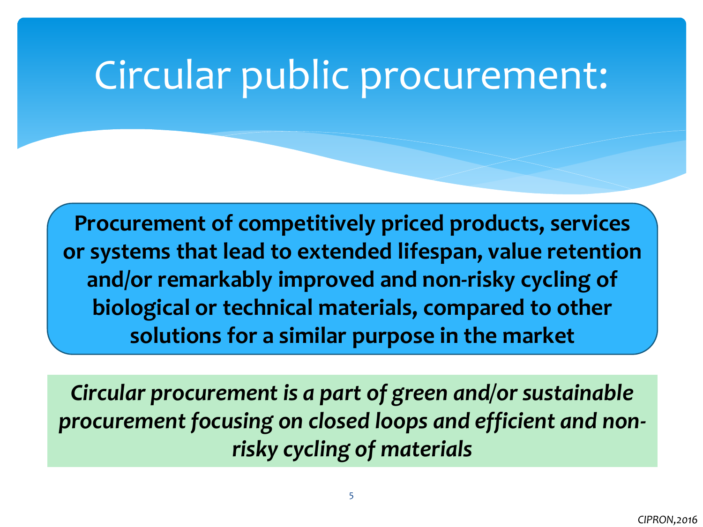# Circular public procurement:

**Procurement of competitively priced products, services or systems that lead to extended lifespan, value retention and/or remarkably improved and non-risky cycling of biological or technical materials, compared to other solutions for a similar purpose in the market**

*Circular procurement is a part of green and/or sustainable procurement focusing on closed loops and efficient and nonrisky cycling of materials*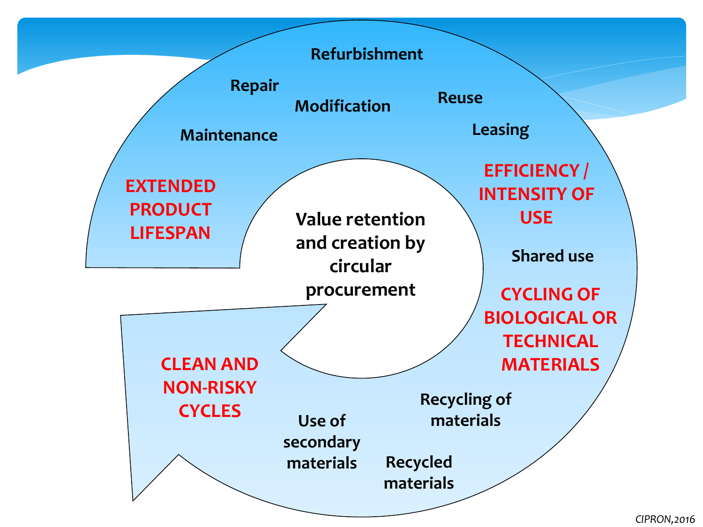

*CIPRON,2016*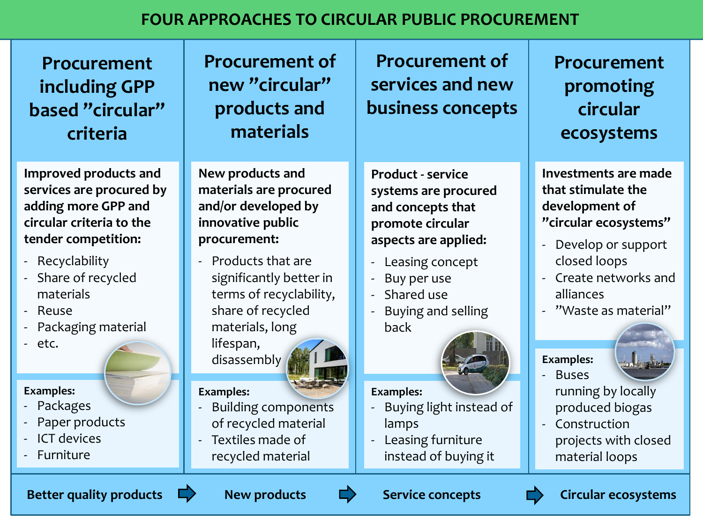#### **FOUR APPROACHES TO CIRCULAR PUBLIC PROCUREMENT**

| <b>Procurement</b><br>including GPP<br>based "circular"<br>criteria                                                         | <b>Procurement of</b><br>new "circular"<br>products and<br>materials                                                                        | <b>Procurement of</b><br>services and new<br>business concepts                                                    | <b>Procurement</b><br>promoting<br>circular<br>ecosystems                                                          |
|-----------------------------------------------------------------------------------------------------------------------------|---------------------------------------------------------------------------------------------------------------------------------------------|-------------------------------------------------------------------------------------------------------------------|--------------------------------------------------------------------------------------------------------------------|
| Improved products and<br>services are procured by<br>adding more GPP and<br>circular criteria to the<br>tender competition: | New products and<br>materials are procured<br>and/or developed by<br>innovative public<br>procurement:                                      | <b>Product - service</b><br>systems are procured<br>and concepts that<br>promote circular<br>aspects are applied: | <b>Investments are made</b><br>that stimulate the<br>development of<br>"circular ecosystems"<br>Develop or support |
| - Recyclability<br>Share of recycled<br>materials<br>- Reuse<br>Packaging material<br>- etc.                                | Products that are<br>significantly better in<br>terms of recyclability,<br>share of recycled<br>materials, long<br>lifespan,<br>disassembly | Leasing concept<br>÷,<br>Buy per use<br>÷,<br>Shared use<br>Buying and selling<br>back                            | closed loops<br>Create networks and<br>alliances<br>"Waste as material"<br><b>Examples:</b><br><b>Buses</b>        |
| <b>Examples:</b><br>- Packages<br>Paper products<br><b>ICT devices</b><br>- Furniture                                       | <b>Examples:</b><br><b>Building components</b><br>of recycled material<br>Textiles made of<br>recycled material                             | <b>Examples:</b><br>Buying light instead of<br>÷,<br>lamps<br>Leasing furniture<br>instead of buying it           | running by locally<br>produced biogas<br>Construction<br>projects with closed<br>material loops                    |
| <b>Better quality products</b><br><b>New products</b><br><b>Circular ecosystems</b><br><b>Service concepts</b>              |                                                                                                                                             |                                                                                                                   |                                                                                                                    |

- Leasing concept
- Buy per use
- Shared use
- Buying and selling back



#### **Examples:**

- Buying light instead of lamps
- Leasing furniture instead of buying it

- Develop or support closed loops
- Create networks and alliances
- "Waste as material"

#### **Examples:**



- Buses running by locally
- produced biogas - Construction projects with closed material loops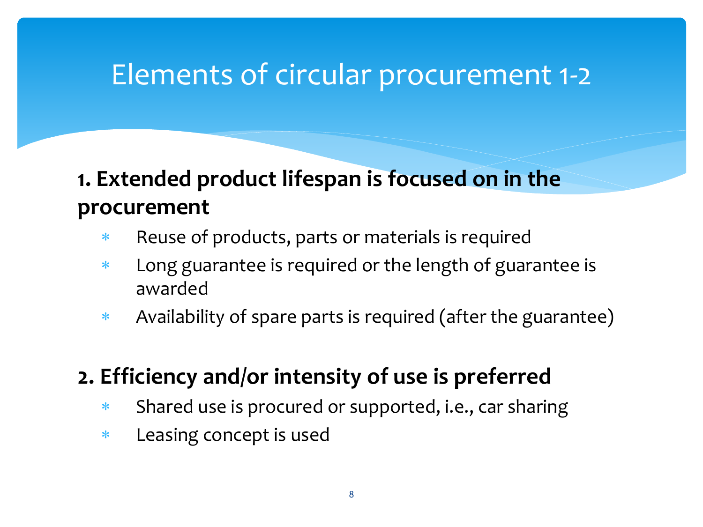## Elements of circular procurement 1-2

### **1. Extended product lifespan is focused on in the procurement**

- \* Reuse of products, parts or materials is required
- Long guarantee is required or the length of guarantee is awarded
- Availability of spare parts is required (after the guarantee)

### **2. Efficiency and/or intensity of use is preferred**

- \* Shared use is procured or supported, i.e., car sharing
- Leasing concept is used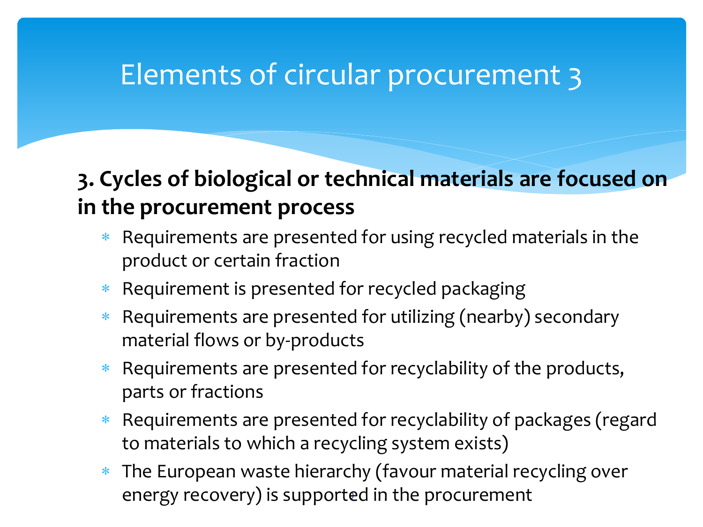## Elements of circular procurement 3

### **3. Cycles of biological or technical materials are focused on in the procurement process**

- Requirements are presented for using recycled materials in the product or certain fraction
- \* Requirement is presented for recycled packaging
- \* Requirements are presented for utilizing (nearby) secondary material flows or by-products
- Requirements are presented for recyclability of the products, parts or fractions
- \* Requirements are presented for recyclability of packages (regard to materials to which a recycling system exists)
- 9 energy recovery) is supported in the procurement The European waste hierarchy (favour material recycling over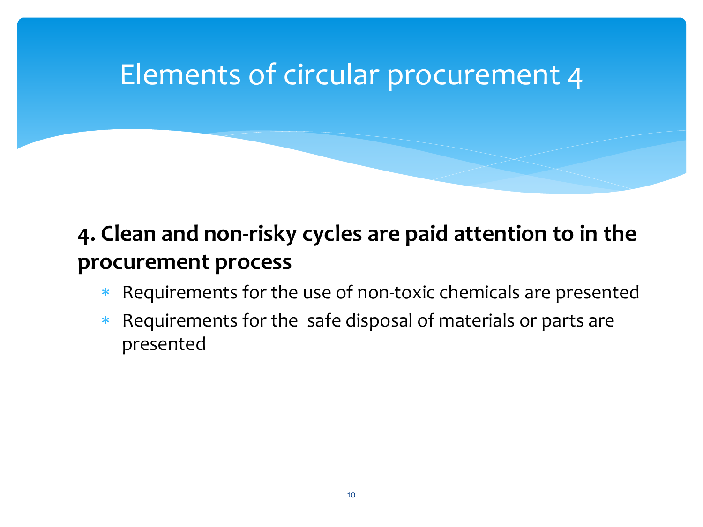## Elements of circular procurement 4

### **4. Clean and non-risky cycles are paid attention to in the procurement process**

- Requirements for the use of non-toxic chemicals are presented
- \* Requirements for the safe disposal of materials or parts are presented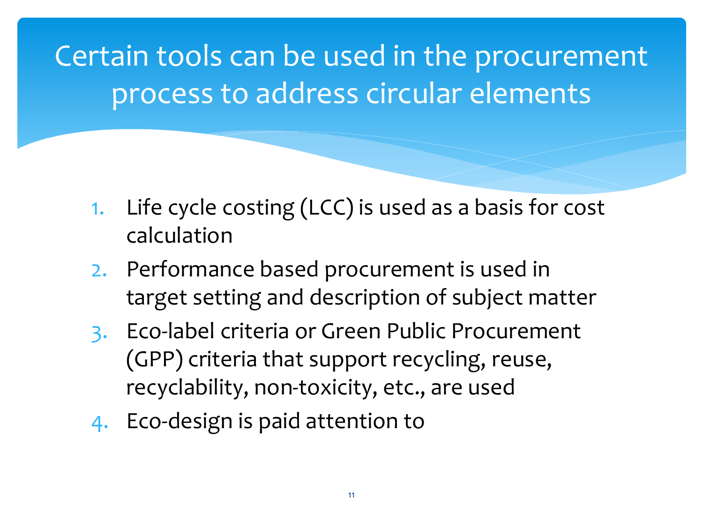Certain tools can be used in the procurement process to address circular elements

- 1. Life cycle costing (LCC) is used as a basis for cost calculation
- 2. Performance based procurement is used in target setting and description of subject matter
- 3. Eco-label criteria or Green Public Procurement (GPP) criteria that support recycling, reuse, recyclability, non-toxicity, etc., are used
- 4. Eco-design is paid attention to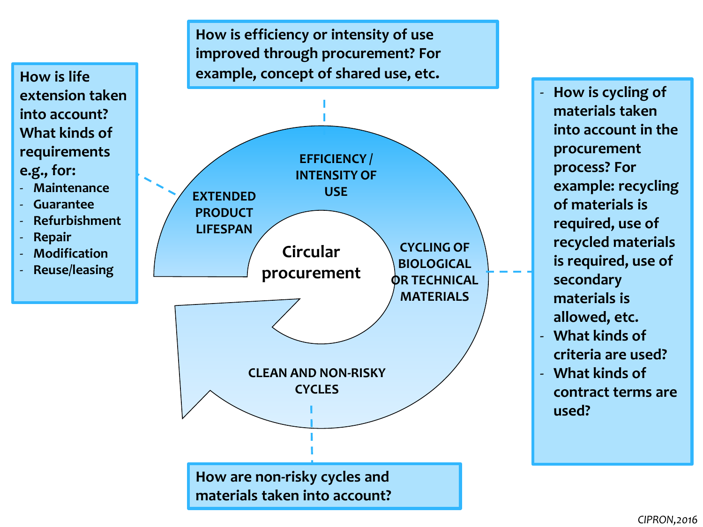

- **Maintenance**
- **Guarantee**
- **Refurbishment**
- **Repair**
- **Modification**
- **Reuse/leasing**

**How is efficiency or intensity of use improved through procurement? For How is life example, concept of shared use, etc.** 



- **How is cycling of materials taken into account in the procurement process? For example: recycling of materials is required, use of recycled materials is required, use of secondary materials is allowed, etc.**

- **What kinds of criteria are used?**
- **What kinds of contract terms are used?**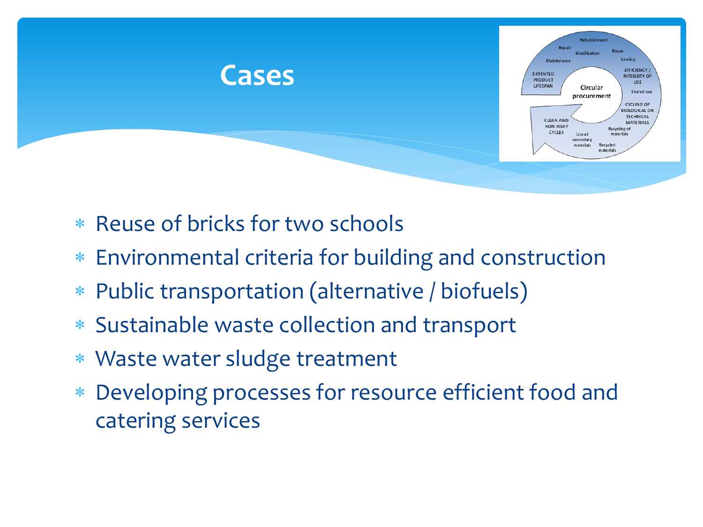

- \* Reuse of bricks for two schools
- Environmental criteria for building and construction
- Public transportation (alternative / biofuels)
- Sustainable waste collection and transport
- Waste water sludge treatment
- Developing processes for resource efficient food and catering services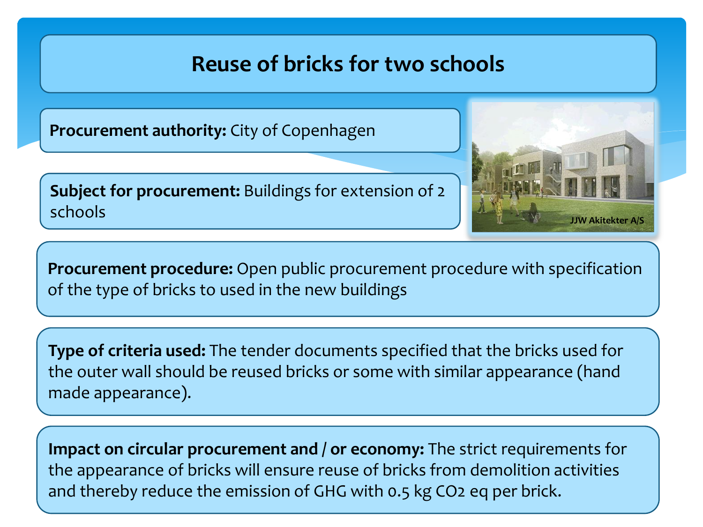### **Reuse of bricks for two schools**

**Procurement authority:** City of Copenhagen

**Subject for procurement:** Buildings for extension of 2 schools



**Procurement procedure:** Open public procurement procedure with specification of the type of bricks to used in the new buildings

**Type of criteria used:** The tender documents specified that the bricks used for the outer wall should be reused bricks or some with similar appearance (hand made appearance).

**Impact on circular procurement and / or economy:** The strict requirements for the appearance of bricks will ensure reuse of bricks from demolition activities and thereby reduce the emission of GHG with 0.5 kg CO2 eq per brick.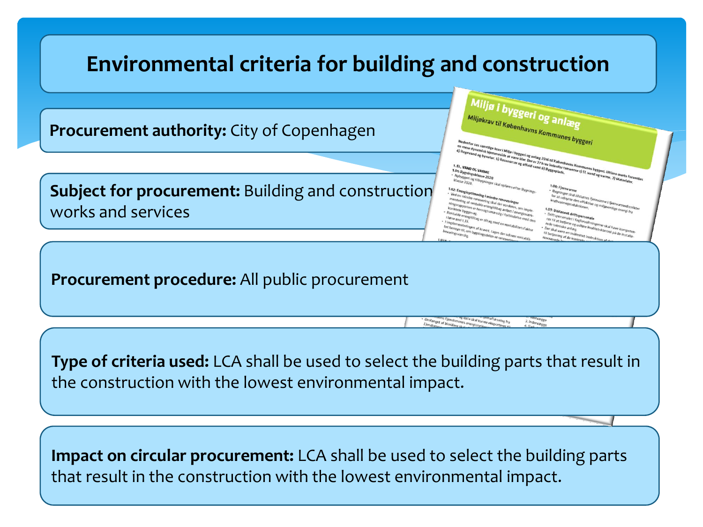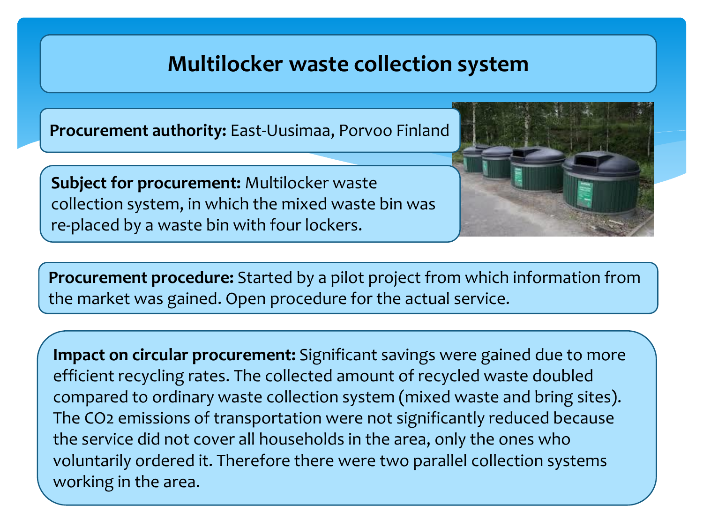### **Multilocker waste collection system**

**Procurement authority:** East-Uusimaa, Porvoo Finland

**Subject for procurement:** Multilocker waste collection system, in which the mixed waste bin was re-placed by a waste bin with four lockers.

**Procurement procedure:** Started by a pilot project from which information from the market was gained. Open procedure for the actual service.

**Impact on circular procurement:** Significant savings were gained due to more efficient recycling rates. The collected amount of recycled waste doubled compared to ordinary waste collection system (mixed waste and bring sites). The CO2 emissions of transportation were not significantly reduced because the service did not cover all households in the area, only the ones who voluntarily ordered it. Therefore there were two parallel collection systems working in the area.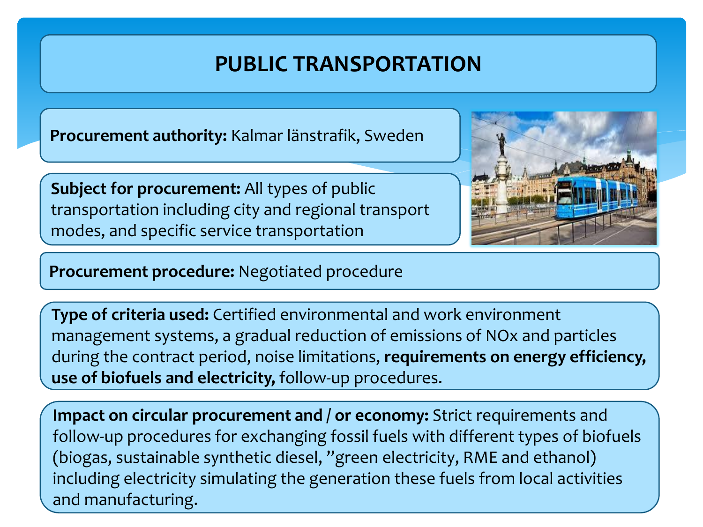### **PUBLIC TRANSPORTATION**

**Procurement authority:** Kalmar länstrafik, Sweden

**Subject for procurement:** All types of public transportation including city and regional transport modes, and specific service transportation

**Procurement procedure:** Negotiated procedure

**Type of criteria used:** Certified environmental and work environment management systems, a gradual reduction of emissions of NOx and particles during the contract period, noise limitations, **requirements on energy efficiency, use of biofuels and electricity,** follow-up procedures.

**Impact on circular procurement and / or economy:** Strict requirements and follow-up procedures for exchanging fossil fuels with different types of biofuels (biogas, sustainable synthetic diesel, "green electricity, RME and ethanol) including electricity simulating the generation these fuels from local activities and manufacturing.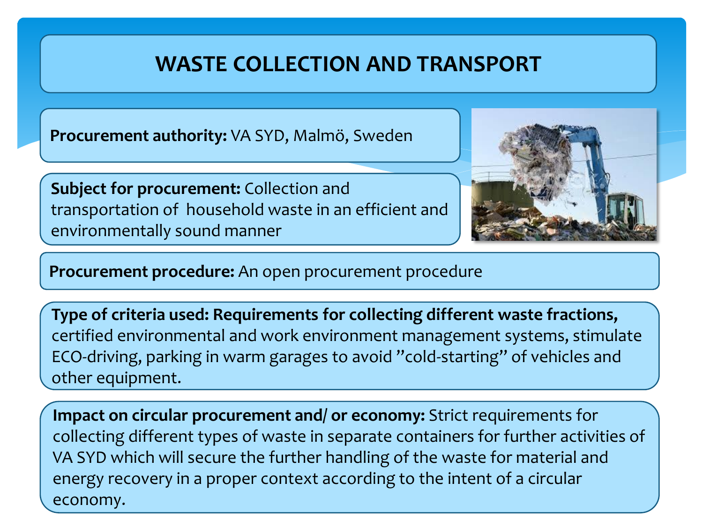### **WASTE COLLECTION AND TRANSPORT**

**Procurement authority:** VA SYD, Malmö, Sweden

**Subject for procurement:** Collection and transportation of household waste in an efficient and environmentally sound manner



**Procurement procedure:** An open procurement procedure

**Type of criteria used: Requirements for collecting different waste fractions,**  certified environmental and work environment management systems, stimulate ECO-driving, parking in warm garages to avoid "cold-starting" of vehicles and other equipment.

**Impact on circular procurement and/ or economy:** Strict requirements for collecting different types of waste in separate containers for further activities of VA SYD which will secure the further handling of the waste for material and energy recovery in a proper context according to the intent of a circular economy.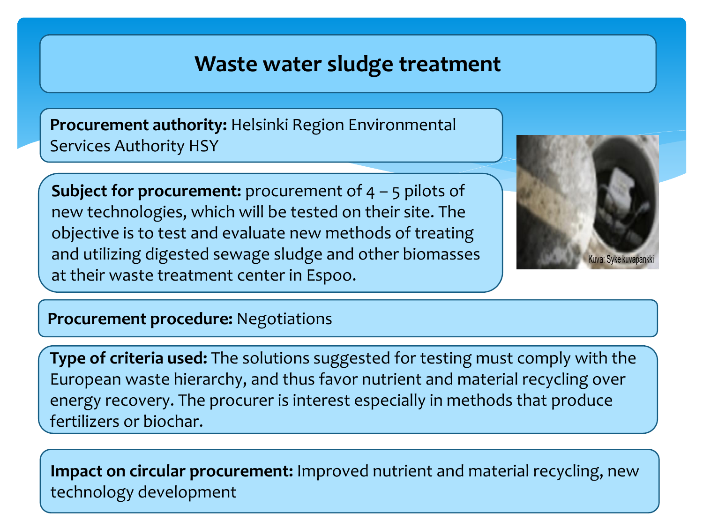### **Waste water sludge treatment**

**Procurement authority:** Helsinki Region Environmental Services Authority HSY

**Subject for procurement:** procurement of 4 – 5 pilots of new technologies, which will be tested on their site. The objective is to test and evaluate new methods of treating and utilizing digested sewage sludge and other biomasses at their waste treatment center in Espoo.



#### **Procurement procedure:** Negotiations

**Type of criteria used:** The solutions suggested for testing must comply with the European waste hierarchy, and thus favor nutrient and material recycling over energy recovery. The procurer is interest especially in methods that produce fertilizers or biochar.

**Impact on circular procurement:** Improved nutrient and material recycling, new technology development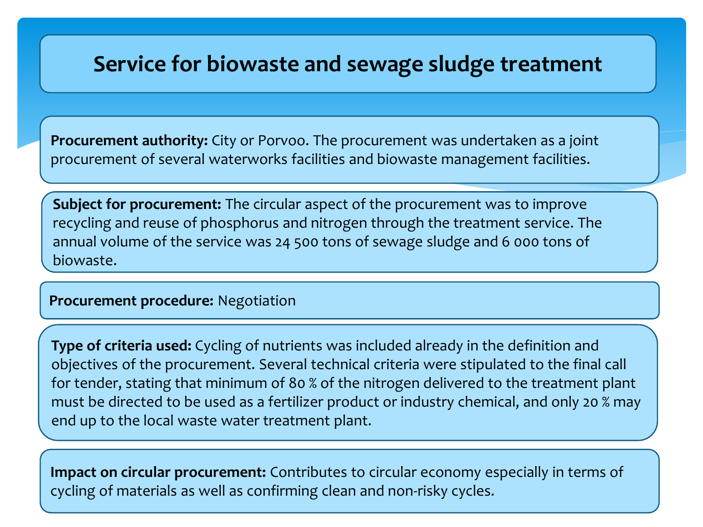### **Service for biowaste and sewage sludge treatment**

**Procurement authority:** City or Porvoo. The procurement was undertaken as a joint procurement of several waterworks facilities and biowaste management facilities.

**Subject for procurement:** The circular aspect of the procurement was to improve recycling and reuse of phosphorus and nitrogen through the treatment service. The annual volume of the service was 24 500 tons of sewage sludge and 6 000 tons of biowaste.

#### **Procurement procedure:** Negotiation

**Type of criteria used:** Cycling of nutrients was included already in the definition and objectives of the procurement. Several technical criteria were stipulated to the final call for tender, stating that minimum of 80 % of the nitrogen delivered to the treatment plant must be directed to be used as a fertilizer product or industry chemical, and only 20 % may end up to the local waste water treatment plant.

**Impact on circular procurement:** Contributes to circular economy especially in terms of cycling of materials as well as confirming clean and non-risky cycles.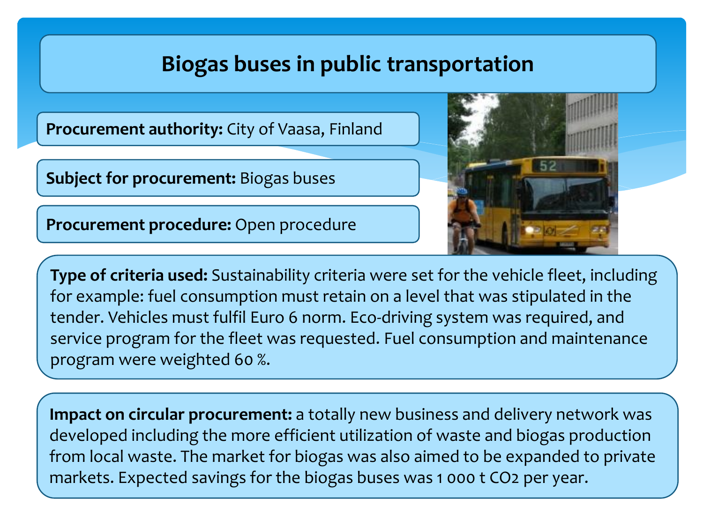### **Biogas buses in public transportation**

**Procurement authority:** City of Vaasa, Finland

**Subject for procurement:** Biogas buses

**Procurement procedure:** Open procedure



**Type of criteria used:** Sustainability criteria were set for the vehicle fleet, including for example: fuel consumption must retain on a level that was stipulated in the tender. Vehicles must fulfil Euro 6 norm. Eco-driving system was required, and service program for the fleet was requested. Fuel consumption and maintenance program were weighted 60 %.

**Impact on circular procurement:** a totally new business and delivery network was developed including the more efficient utilization of waste and biogas production from local waste. The market for biogas was also aimed to be expanded to private markets. Expected savings for the biogas buses was 1 000 t CO2 per year.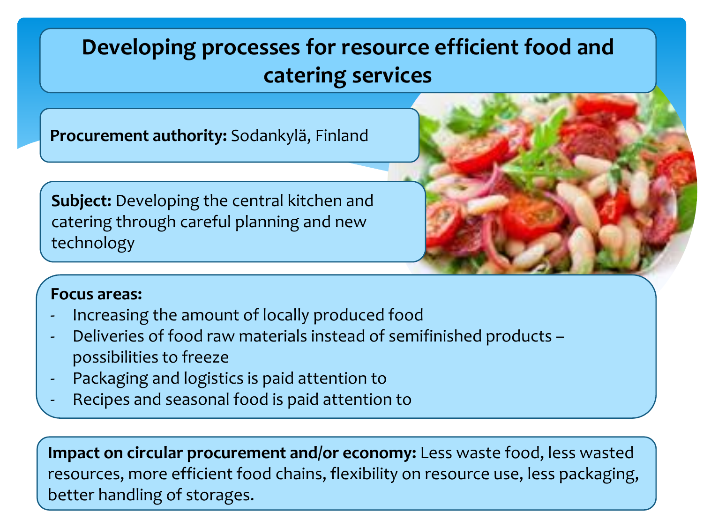### **Developing processes for resource efficient food and catering services**

**Procurement authority:** Sodankylä, Finland

**Subject:** Developing the central kitchen and catering through careful planning and new technology



#### **Focus areas:**

- Increasing the amount of locally produced food
- Deliveries of food raw materials instead of semifinished products possibilities to freeze
- Packaging and logistics is paid attention to
- Recipes and seasonal food is paid attention to

**Impact on circular procurement and/or economy:** Less waste food, less wasted resources, more efficient food chains, flexibility on resource use, less packaging, better handling of storages.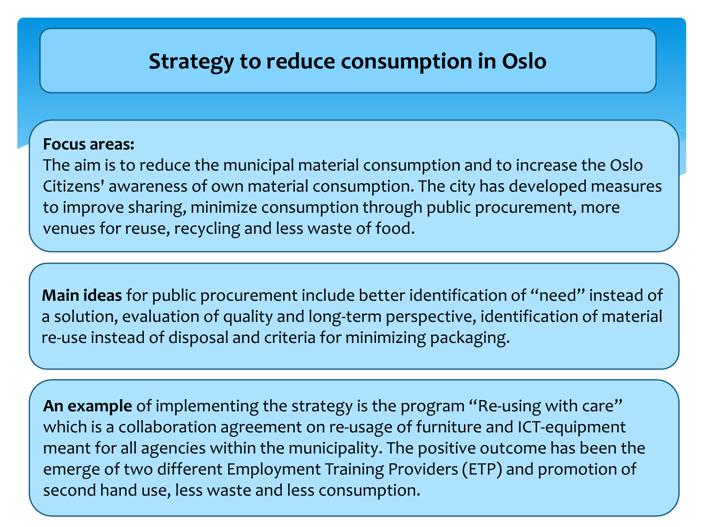### **Strategy to reduce consumption in Oslo**

#### **Focus areas:**

The aim is to reduce the municipal material consumption and to increase the Oslo Citizens' awareness of own material consumption. The city has developed measures to improve sharing, minimize consumption through public procurement, more venues for reuse, recycling and less waste of food.

**Main ideas** for public procurement include better identification of "need" instead of a solution, evaluation of quality and long-term perspective, identification of material re-use instead of disposal and criteria for minimizing packaging.

**An example** of implementing the strategy is the program "Re-using with care" which is a collaboration agreement on re-usage of furniture and ICT-equipment meant for all agencies within the municipality. The positive outcome has been the emerge of two different Employment Training Providers (ETP) and promotion of second hand use, less waste and less consumption.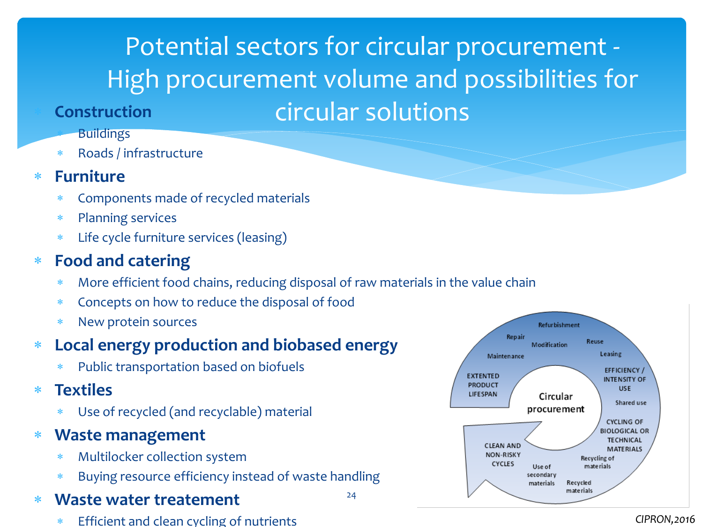## Potential sectors for circular procurement - High procurement volume and possibilities for circular solutions

#### **Construction**

#### **Buildings**

Roads / infrastructure

#### **Furniture**

- Components made of recycled materials
- Planning services
- Life cycle furniture services (leasing)

#### **Food and catering**

More efficient food chains, reducing disposal of raw materials in the value chain

24

- Concepts on how to reduce the disposal of food
- New protein sources

#### **Local energy production and biobased energy**

- Public transportation based on biofuels
- **Textiles**
	- Use of recycled (and recyclable) material
- **Waste management**
	- Multilocker collection system
	- Buying resource efficiency instead of waste handling

#### **Waste water treatement**

Efficient and clean cycling of nutrients